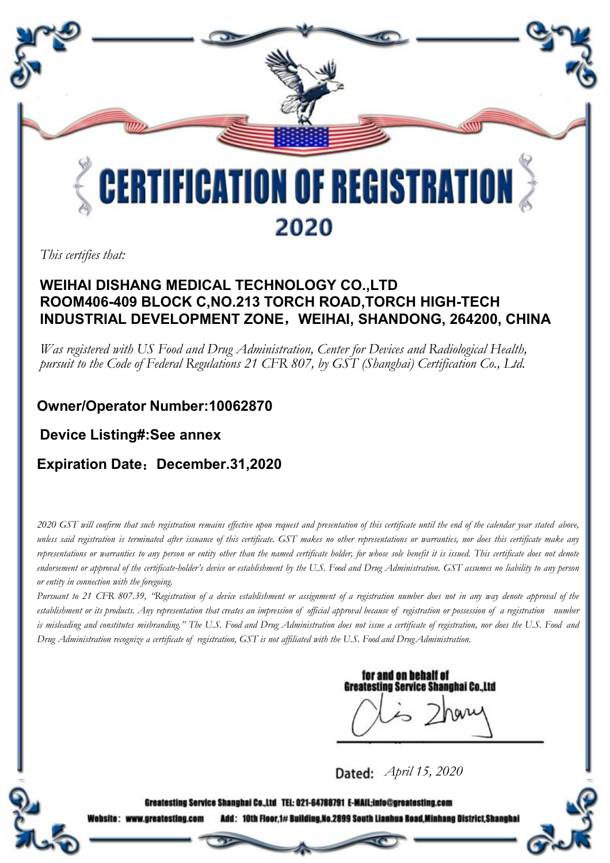

*This certifies that:*

#### **WEIHAI DISHANG MEDICAL TECHNOLOGY CO.,LTD ROOM406-409 BLOCK C,NO.213 TORCH ROAD,TORCH HIGH-TECH INDUSTRIAL DEVELOPMENT ZONE**,**WEIHAI, SHANDONG, 264200, CHINA**

Was registered with US Food and Drug Administration, Center for Devices and Radiological Health,<br>pursuit to the Code of Federal Regulations 21 CFR 807, by GST (Shanghai) Certification Co., Ltd.

### **Owner/Operator Number:10062870**

**Device Listing#:See annex**

#### **Expiration Date**:**December.31,2020**

2020 GST will confirm that such registration remains effective upon request and presentation of this certificate until the end of the calendar year stated above, unless said registration is terminated after issuance of this certificate. GST makes no other representations or warranties, nor does this certificate make any representations or warranties to any person or entity other than the named certificate holder, for whose sole benefit it is issued. This certificate does not denote endorsement or approval of the certificate-holder's device or establishment by the U.S. Food and Drug Administration. GST assumes no liability to any person *or entity in connection with the foregoing.*

Pursuant to 21 CFR 807.39, "Registration of a device establishment or assignment of a registration number does not in any way denote approval of the establishment or its products. Any representation that creates an impression of official approval because of registration or possession of a registration number is misleading and constitutes misbranding." The U.S. Food and Drug Administration does not issue a certificate of registration, nor does the U.S. Food and Drug Administration recognize a certificate of registration, GST is not affiliated with the U.S. Food and Drug Administration.

for and on behalf of **Greatesting Service Shanghai Co.,Ltd** 

*April 15, 2020*

Greatesting Service Shanghai Co.,Ltd TEL: 021-64788791 E-MAIL;info@greatesting.com

Add: 10th Floor,1# Building,No.2899 South Lianhua Road,Minhang District,Shanghai